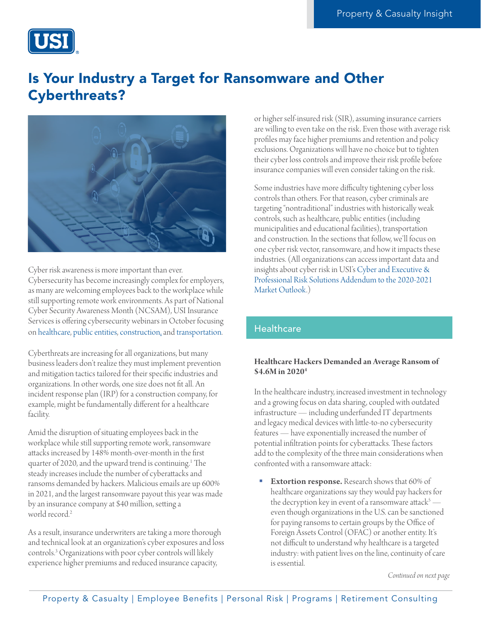

# Is Your Industry a Target for Ransomware and Other Cyberthreats?



Cyber risk awareness is more important than ever. Cybersecurity has become increasingly complex for employers, as many are welcoming employees back to the workplace while still supporting remote work environments. As part of National Cyber Security Awareness Month (NCSAM), USI Insurance Services is offering cybersecurity webinars in October focusing on [healthcare,](#page-0-0) [public entities](#page-1-0), [construction,](#page-2-0) and [transportation](#page-2-1).

Cyberthreats are increasing for all organizations, but many business leaders don't realize they must implement prevention and mitigation tactics tailored for their specific industries and organizations. In other words, one size does not fit all. An incident response plan (IRP) for a construction company, for example, might be fundamentally different for a healthcare facility.

Amid the disruption of situating employees back in the workplace while still supporting remote work, ransomware attacks increased by 148% month-over-month in the first quarter of 2020, and the upward trend is continuing.<sup>1</sup> The steady increases include the number of cyberattacks and ransoms demanded by hackers. Malicious emails are up 600% in 2021, and the largest ransomware payout this year was made by an insurance company at \$40 million, setting a world record.<sup>2</sup>

As a result, insurance underwriters are taking a more thorough and technical look at an organization's cyber exposures and loss controls.3 Organizations with poor cyber controls will likely experience higher premiums and reduced insurance capacity,

or higher self-insured risk (SIR), assuming insurance carriers are willing to even take on the risk. Even those with average risk profiles may face higher premiums and retention and policy exclusions. Organizations will have no choice but to tighten their cyber loss controls and improve their risk profile before insurance companies will even consider taking on the risk.

Some industries have more difficulty tightening cyber loss controls than others. For that reason, cyber criminals are targeting "nontraditional" industries with historically weak controls, such as healthcare, public entities (including municipalities and educational facilities), transportation and construction. In the sections that follow, we'll focus on one cyber risk vector, ransomware, and how it impacts these industries. (All organizations can access important data and insights about cyber risk in USI's [Cyber and Executive &](https://www.usi.com/siteassets/images/about/market-outlook-page-2020/addendum-to-q4-2020-2021-market-outlook.pdf)  [Professional Risk Solutions Addendum to the 2020-2021](https://www.usi.com/siteassets/images/about/market-outlook-page-2020/addendum-to-q4-2020-2021-market-outlook.pdf)  [Market Outlook.](https://www.usi.com/siteassets/images/about/market-outlook-page-2020/addendum-to-q4-2020-2021-market-outlook.pdf))

# <span id="page-0-0"></span>**Healthcare**

## **Healthcare Hackers Demanded an Average Ransom of \$4.6M in 20204**

In the healthcare industry, increased investment in technology and a growing focus on data sharing, coupled with outdated infrastructure — including underfunded IT departments and legacy medical devices with little-to-no cybersecurity features — have exponentially increased the number of potential infiltration points for cyberattacks. These factors add to the complexity of the three main considerations when confronted with a ransomware attack:

**Extortion response.** Research shows that 60% of healthcare organizations say they would pay hackers for the decryption key in event of a ransomware attack $^5$  even though organizations in the U.S. can be sanctioned for paying ransoms to certain groups by the Office of Foreign Assets Control (OFAC) or another entity. It's not difficult to understand why healthcare is a targeted industry: with patient lives on the line, continuity of care is essential.

*Continued on next page*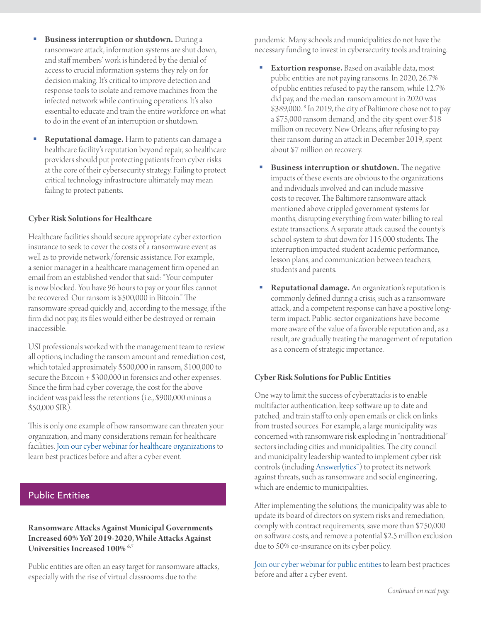- Business interruption or shutdown. During a ransomware attack, information systems are shut down, and staff members' work is hindered by the denial of access to crucial information systems they rely on for decision making. It's critical to improve detection and response tools to isolate and remove machines from the infected network while continuing operations. It's also essential to educate and train the entire workforce on what to do in the event of an interruption or shutdown.
- Reputational damage. Harm to patients can damage a healthcare facility's reputation beyond repair, so healthcare providers should put protecting patients from cyber risks at the core of their cybersecurity strategy. Failing to protect critical technology infrastructure ultimately may mean failing to protect patients.

#### **Cyber Risk Solutions for Healthcare**

Healthcare facilities should secure appropriate cyber extortion insurance to seek to cover the costs of a ransomware event as well as to provide network/forensic assistance. For example, a senior manager in a healthcare management firm opened an email from an established vendor that said: "Your computer is now blocked. You have 96 hours to pay or your files cannot be recovered. Our ransom is \$500,000 in Bitcoin." The ransomware spread quickly and, according to the message, if the firm did not pay, its files would either be destroyed or remain inaccessible.

USI professionals worked with the management team to review all options, including the ransom amount and remediation cost, which totaled approximately \$500,000 in ransom, \$100,000 to secure the Bitcoin + \$300,000 in forensics and other expenses. Since the firm had cyber coverage, the cost for the above incident was paid less the retentions (i.e., \$900,000 minus a \$50,000 SIR).

This is only one example of how ransomware can threaten your organization, and many considerations remain for healthcare facilities. [Join our cyber webinar for healthcare organizations](https://info.usi.com/Mitigating-Ransomware-Attacks-in-Healthcare-10-21.html) to learn best practices before and after a cyber event.

## <span id="page-1-0"></span>Public Entities

### **Ransomware Attacks Against Municipal Governments Increased 60% YoY 2019-2020, While Attacks Against Universities Increased 100% 6,7**

Public entities are often an easy target for ransomware attacks, especially with the rise of virtual classrooms due to the

pandemic. Many schools and municipalities do not have the necessary funding to invest in cybersecurity tools and training.

- **Extortion response.** Based on available data, most public entities are not paying ransoms. In 2020, 26.7% of public entities refused to pay the ransom, while 12.7% did pay, and the median ransom amount in 2020 was \$389,000. 8 In 2019, the city of Baltimore chose not to pay a \$75,000 ransom demand, and the city spent over \$18 million on recovery. New Orleans, after refusing to pay their ransom during an attack in December 2019, spent about \$7 million on recovery.
- **Business interruption or shutdown.** The negative impacts of these events are obvious to the organizations and individuals involved and can include massive costs to recover. The Baltimore ransomware attack mentioned above crippled government systems for months, disrupting everything from water billing to real estate transactions. A separate attack caused the county's school system to shut down for 115,000 students. The interruption impacted student academic performance, lesson plans, and communication between teachers, students and parents.
- **Reputational damage.** An organization's reputation is commonly defined during a crisis, such as a ransomware attack, and a competent response can have a positive longterm impact. Public-sector organizations have become more aware of the value of a favorable reputation and, as a result, are gradually treating the management of reputation as a concern of strategic importance.

#### **Cyber Risk Solutions for Public Entities**

One way to limit the success of cyberattacks is to enable multifactor authentication, keep software up to date and patched, and train staff to only open emails or click on links from trusted sources. For example, a large municipality was concerned with ransomware risk exploding in "nontraditional" sectors including cities and municipalities. The city council and municipality leadership wanted to implement cyber risk controls (including [Answerlytics™](https://info.usi.com/NAT-21-09-07-Executive-SeriesAnswerlytics.html)) to protect its network against threats, such as ransomware and social engineering, which are endemic to municipalities.

After implementing the solutions, the municipality was able to update its board of directors on system risks and remediation, comply with contract requirements, save more than \$750,000 on software costs, and remove a potential \$2.5 million exclusion due to 50% co-insurance on its cyber policy.

[Join our cyber webinar for public entities](https://info.usi.com/Mitigating-Ransomware-Attacks-in-the-Public-Entity-Sector-10-21.html) to learn best practices before and after a cyber event.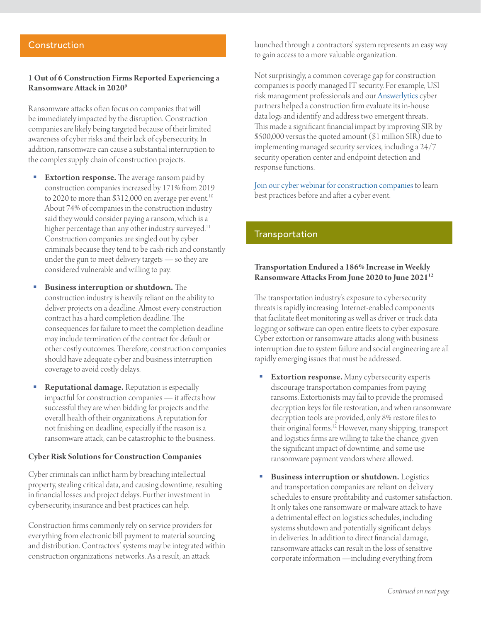## <span id="page-2-0"></span>**Construction**

#### **1 Out of 6 Construction Firms Reported Experiencing a Ransomware Attack in 20209**

Ransomware attacks often focus on companies that will be immediately impacted by the disruption. Construction companies are likely being targeted because of their limited awareness of cyber risks and their lack of cybersecurity. In addition, ransomware can cause a substantial interruption to the complex supply chain of construction projects.

- **Extortion response.** The average ransom paid by construction companies increased by 171% from 2019 to 2020 to more than  $$312,000$  on average per event.<sup>10</sup> About 74% of companies in the construction industry said they would consider paying a ransom, which is a higher percentage than any other industry surveyed.<sup>11</sup> Construction companies are singled out by cyber criminals because they tend to be cash-rich and constantly under the gun to meet delivery targets — so they are considered vulnerable and willing to pay.
- Business interruption or shutdown. The construction industry is heavily reliant on the ability to deliver projects on a deadline. Almost every construction contract has a hard completion deadline. The consequences for failure to meet the completion deadline may include termination of the contract for default or other costly outcomes. Therefore, construction companies should have adequate cyber and business interruption coverage to avoid costly delays.
- Reputational damage. Reputation is especially impactful for construction companies — it affects how successful they are when bidding for projects and the overall health of their organizations. A reputation for not finishing on deadline, especially if the reason is a ransomware attack, can be catastrophic to the business.

#### **Cyber Risk Solutions for Construction Companies**

Cyber criminals can inflict harm by breaching intellectual property, stealing critical data, and causing downtime, resulting in financial losses and project delays. Further investment in cybersecurity, insurance and best practices can help.

Construction firms commonly rely on service providers for everything from electronic bill payment to material sourcing and distribution. Contractors' systems may be integrated within construction organizations' networks. As a result, an attack

launched through a contractors' system represents an easy way to gain access to a more valuable organization.

Not surprisingly, a common coverage gap for construction companies is poorly managed IT security. For example, USI risk management professionals and our [Answerlytics](https://info.usi.com/NAT-21-09-07-Executive-SeriesAnswerlytics.html) cyber partners helped a construction firm evaluate its in-house data logs and identify and address two emergent threats. This made a significant financial impact by improving SIR by \$500,000 versus the quoted amount (\$1 million SIR) due to implementing managed security services, including a 24/7 security operation center and endpoint detection and response functions.

[Join our cyber webinar for construction companies](https://info.usi.com/Mitigating-Ransomware-Attacks-in-Construction-10-21.html) to learn best practices before and after a cyber event.

## <span id="page-2-1"></span>**Transportation**

#### **Transportation Endured a 186% Increase in Weekly Ransomware Attacks From June 2020 to June 202112**

The transportation industry's exposure to cybersecurity threats is rapidly increasing. Internet-enabled components that facilitate fleet monitoring as well as driver or truck data logging or software can open entire fleets to cyber exposure. Cyber extortion or ransomware attacks along with business interruption due to system failure and social engineering are all rapidly emerging issues that must be addressed.

- **Extortion response.** Many cybersecurity experts discourage transportation companies from paying ransoms. Extortionists may fail to provide the promised decryption keys for file restoration, and when ransomware decryption tools are provided, only 8% restore files to their original forms.<sup>12</sup> However, many shipping, transport and logistics firms are willing to take the chance, given the significant impact of downtime, and some use ransomware payment vendors where allowed.
- Business interruption or shutdown. Logistics and transportation companies are reliant on delivery schedules to ensure profitability and customer satisfaction. It only takes one ransomware or malware attack to have a detrimental effect on logistics schedules, including systems shutdown and potentially significant delays in deliveries. In addition to direct financial damage, ransomware attacks can result in the loss of sensitive corporate information —including everything from